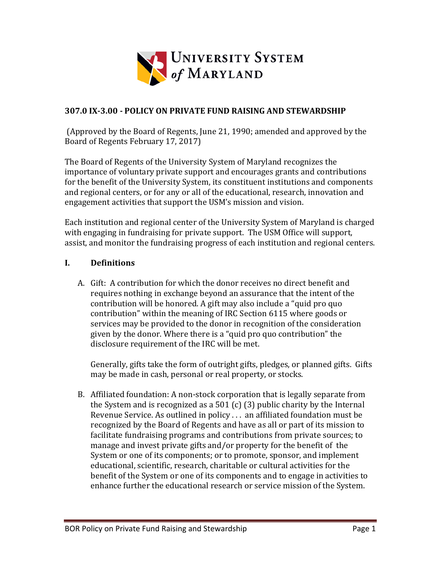

#### **307.0 IX‐3.00 ‐ POLICY ON PRIVATE FUND RAISING AND STEWARDSHIP**

(Approved by the Board of Regents, June 21, 1990; amended and approved by the Board of Regents February 17, 2017)

The Board of Regents of the University System of Maryland recognizes the importance of voluntary private support and encourages grants and contributions for the benefit of the University System, its constituent institutions and components and regional centers, or for any or all of the educational, research, innovation and engagement activities that support the USM's mission and vision.

Each institution and regional center of the University System of Maryland is charged with engaging in fundraising for private support. The USM Office will support, assist, and monitor the fundraising progress of each institution and regional centers.

#### **I. Definitions**

A. Gift: A contribution for which the donor receives no direct benefit and requires nothing in exchange beyond an assurance that the intent of the contribution will be honored. A gift may also include a "quid pro quo contribution" within the meaning of IRC Section 6115 where goods or services may be provided to the donor in recognition of the consideration given by the donor. Where there is a "quid pro quo contribution" the disclosure requirement of the IRC will be met.

Generally, gifts take the form of outright gifts, pledges, or planned gifts. Gifts may be made in cash, personal or real property, or stocks.

B. Affiliated foundation: A non-stock corporation that is legally separate from the System and is recognized as a 501 (c) (3) public charity by the Internal Revenue Service. As outlined in policy  $\dots$  an affiliated foundation must be recognized by the Board of Regents and have as all or part of its mission to facilitate fundraising programs and contributions from private sources; to manage and invest private gifts and/or property for the benefit of the System or one of its components; or to promote, sponsor, and implement educational, scientific, research, charitable or cultural activities for the benefit of the System or one of its components and to engage in activities to enhance further the educational research or service mission of the System.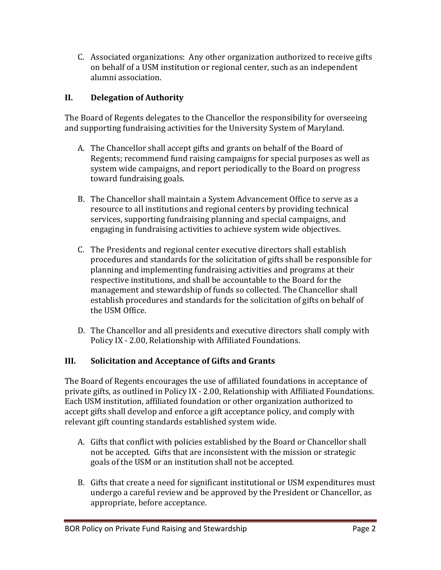C. Associated organizations: Any other organization authorized to receive gifts on behalf of a USM institution or regional center, such as an independent alumni association.

#### **II. Delegation of Authority**

The Board of Regents delegates to the Chancellor the responsibility for overseeing and supporting fundraising activities for the University System of Maryland.

- A. The Chancellor shall accept gifts and grants on behalf of the Board of Regents; recommend fund raising campaigns for special purposes as well as system wide campaigns, and report periodically to the Board on progress toward fundraising goals.
- B. The Chancellor shall maintain a System Advancement Office to serve as a resource to all institutions and regional centers by providing technical services, supporting fundraising planning and special campaigns, and engaging in fundraising activities to achieve system wide objectives.
- C. The Presidents and regional center executive directors shall establish procedures and standards for the solicitation of gifts shall be responsible for planning and implementing fundraising activities and programs at their respective institutions, and shall be accountable to the Board for the management and stewardship of funds so collected. The Chancellor shall establish procedures and standards for the solicitation of gifts on behalf of the USM Office.
- D. The Chancellor and all presidents and executive directors shall comply with Policy IX - 2.00, Relationship with Affiliated Foundations.

#### **III. Solicitation and Acceptance of Gifts and Grants**

The Board of Regents encourages the use of affiliated foundations in acceptance of private gifts, as outlined in Policy IX - 2.00, Relationship with Affiliated Foundations. Each USM institution, affiliated foundation or other organization authorized to accept gifts shall develop and enforce a gift acceptance policy, and comply with relevant gift counting standards established system wide.

- A. Gifts that conflict with policies established by the Board or Chancellor shall not be accepted. Gifts that are inconsistent with the mission or strategic goals of the USM or an institution shall not be accepted.
- B. Gifts that create a need for significant institutional or USM expenditures must undergo a careful review and be approved by the President or Chancellor, as appropriate, before acceptance.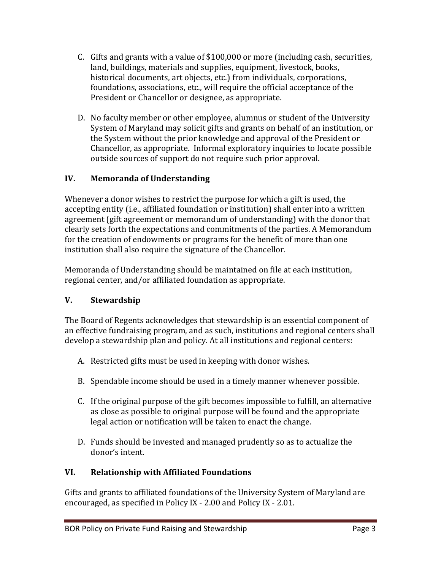- C. Gifts and grants with a value of  $$100,000$  or more (including cash, securities, land, buildings, materials and supplies, equipment, livestock, books, historical documents, art objects, etc.) from individuals, corporations, foundations, associations, etc., will require the official acceptance of the President or Chancellor or designee, as appropriate.
- D. No faculty member or other employee, alumnus or student of the University System of Maryland may solicit gifts and grants on behalf of an institution, or the System without the prior knowledge and approval of the President or Chancellor, as appropriate. Informal exploratory inquiries to locate possible outside sources of support do not require such prior approval.

## **IV. Memoranda of Understanding**

institution shall also require the signature of the Chancellor. Whenever a donor wishes to restrict the purpose for which a gift is used, the accepting entity (i.e., affiliated foundation or institution) shall enter into a written agreement (gift agreement or memorandum of understanding) with the donor that clearly sets forth the expectations and commitments of the parties. A Memorandum for the creation of endowments or programs for the benefit of more than one

Memoranda of Understanding should be maintained on file at each institution, regional center, and/or affiliated foundation as appropriate.

## **V. Stewardship**

The Board of Regents acknowledges that stewardship is an essential component of an effective fundraising program, and as such, institutions and regional centers shall develop a stewardship plan and policy. At all institutions and regional centers:

- A. Restricted gifts must be used in keeping with donor wishes.
- B. Spendable income should be used in a timely manner whenever possible.
- C. If the original purpose of the gift becomes impossible to fulfill, an alternative as close as possible to original purpose will be found and the appropriate legal action or notification will be taken to enact the change.
- D. Funds should be invested and managed prudently so as to actualize the donor's intent.

# **VI. Relationship with Affiliated Foundations**

Gifts and grants to affiliated foundations of the University System of Maryland are encouraged, as specified in Policy IX - 2.00 and Policy IX - 2.01.